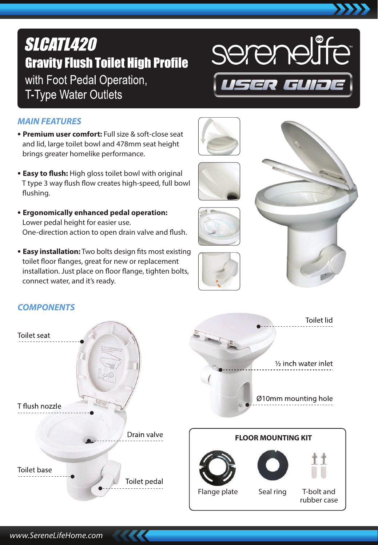# **SLCATL420 Gravity Flush Toilet High Profile** with Foot Pedal Operation, **T-Type Water Outlets**



# *MAIN FEATURES*

- **Premium user comfort:** Full size & soft-close seat and lid, large toilet bowl and 478mm seat height brings greater homelike performance.
- **Easy to flush:** High gloss toilet bowl with original T type 3 way flush flow creates high-speed, full bowl flushing.
- **Ergonomically enhanced pedal operation:** Lower pedal height for easier use. One-direction action to open drain valve and flush.
- **Easy installation:** Two bolts design fits most existing toilet floor flanges, great for new or replacement installation. Just place on floor flange, tighten bolts, connect water, and it's ready.

# *COMPONENTS*





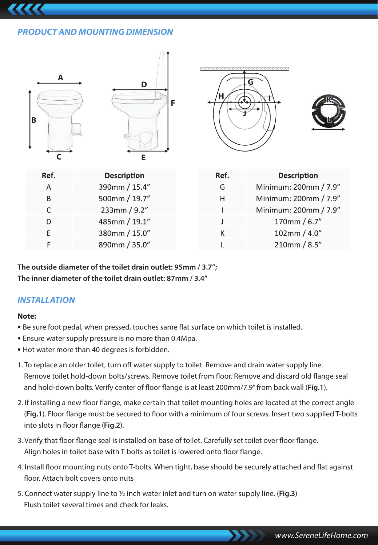# *PRODUCT AND MOUNTING DIMENSION*



**The outside diameter of the toilet drain outlet: 95mm / 3.7"; The inner diameter of the toilet drain outlet: 87mm / 3.4"**

## *INSTALLATION*

#### **Note:**

- Be sure foot pedal, when pressed, touches same flat surface on which toilet is installed.
- Ensure water supply pressure is no more than 0.4Mpa.
- Hot water more than 40 degrees is forbidden.
- 1. To replace an older toilet, turn off water supply to toilet. Remove and drain water supply line. Remove toilet hold-down bolts/screws. Remove toilet from floor. Remove and discard old flange seal and hold-down bolts. Verify center of floor flange is at least 200mm/7.9" from back wall (Fig.1).
- 2. If installing a new floor flange, make certain that toilet mounting holes are located at the correct angle (Fig.1). Floor flange must be secured to floor with a minimum of four screws. Insert two supplied T-bolts into slots in floor flange (Fig.2).
- 3. Verify that floor flange seal is installed on base of toilet. Carefully set toilet over floor flange. Align holes in toilet base with T-bolts as toilet is lowered onto floor flange.
- 4. Install floor mounting nuts onto T-bolts. When tight, base should be securely attached and flat against floor. Attach bolt covers onto nuts
- 5. Connect water supply line to ½ inch water inlet and turn on water supply line. (**Fig.3**) Flush toilet several times and check for leaks.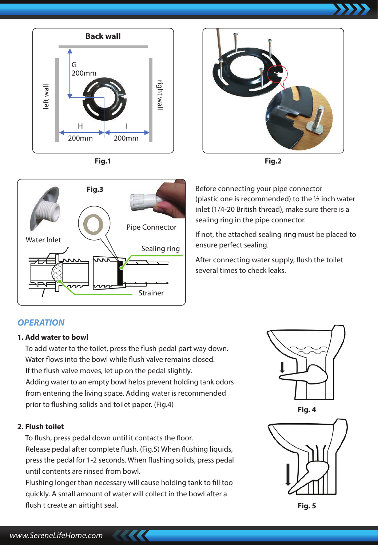



**Fig.3**



**Fig.2**



If not, the attached sealing ring must be placed to ensure perfect sealing.

After connecting water supply, flush the toilet several times to check leaks.

# *OPERATION*

Water Inlet

#### **1. Add water to bowl**

To add water to the toilet, press the flush pedal part way down. Water flows into the bowl while flush valve remains closed. If the flush valve moves, let up on the pedal slightly. Adding water to an empty bowl helps prevent holding tank odors from entering the living space. Adding water is recommended prior to flushing solids and toilet paper. (Fig.4)

Strainer

Sealing ring

Pipe Connector

#### **2. Flush toilet**

To flush, press pedal down until it contacts the floor. Release pedal after complete flush. (Fig.5) When flushing liquids, press the pedal for 1-2 seconds. When flushing solids, press pedal until contents are rinsed from bowl.

Flushing longer than necessary will cause holding tank to fill too quickly. A small amount of water will collect in the bowl after a flush t create an airtight seal.